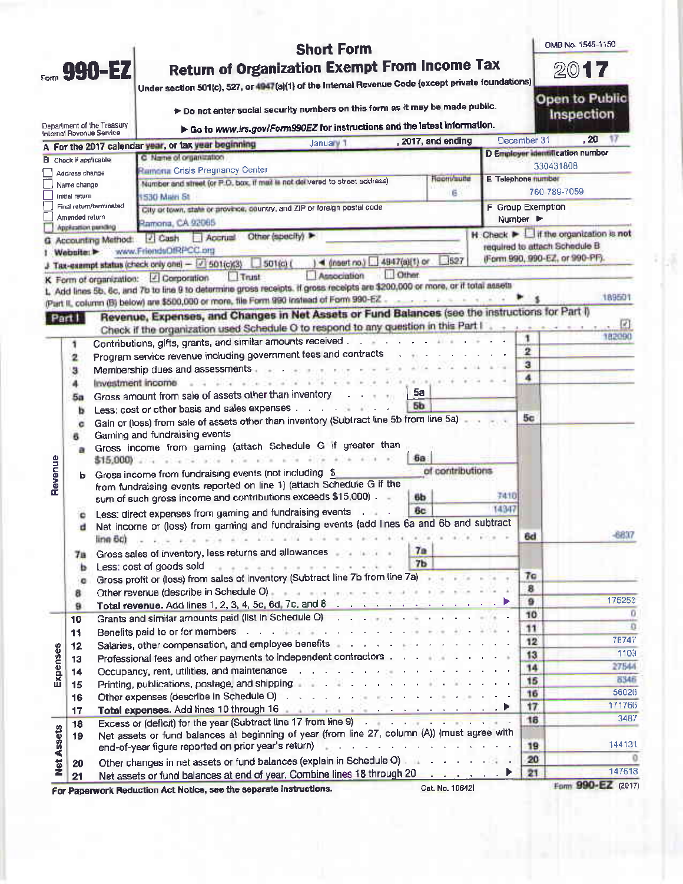|                   |                                           | <b>Short Form</b>                                                                                                                                                                                                                                                                                                                        |                          | OMB No. 1545-1150                                                   |
|-------------------|-------------------------------------------|------------------------------------------------------------------------------------------------------------------------------------------------------------------------------------------------------------------------------------------------------------------------------------------------------------------------------------------|--------------------------|---------------------------------------------------------------------|
|                   | Form 990-EZ                               |                                                                                                                                                                                                                                                                                                                                          | 2017                     |                                                                     |
|                   |                                           | <b>Return of Organization Exempt From Income Tax</b><br>Under section 501(c), 527, or 4947(a)(1) of the Internal Revenue Code (except private foundations)                                                                                                                                                                               |                          |                                                                     |
|                   |                                           | to not enter social security numbers on this form as it may be made public.                                                                                                                                                                                                                                                              |                          | Open to Public<br>Inspection                                        |
|                   | Department of the Treasury                | Go to www.irs.gov/Form990EZ for instructions and the latest information.                                                                                                                                                                                                                                                                 |                          |                                                                     |
|                   | Internal Revenue Service                  | . 2017, and ending<br>January 1<br>A For the 2017 calendar year, or tax year beginning                                                                                                                                                                                                                                                   | December 31              | .20<br>17                                                           |
|                   | <b>B</b> Check if applicable              | C Name of organization                                                                                                                                                                                                                                                                                                                   |                          | D Employer identification number                                    |
|                   | Address change                            | Ramoria Crisis Pregnancy Center                                                                                                                                                                                                                                                                                                          |                          | 330431808                                                           |
|                   | Name change                               | Room/autte<br>Number and street (or P.O. box, if med is not delivered to street address)                                                                                                                                                                                                                                                 | E Telephone number       | 760-789-7059                                                        |
|                   | Initial return<br>Final return/terminated | ű<br><b>IS30 Main St</b>                                                                                                                                                                                                                                                                                                                 | <b>F</b> Group Exemption |                                                                     |
|                   | Amended return                            | City or town, state or province, country, and ZIP or foreign postal code<br>Ramona, CA 92065                                                                                                                                                                                                                                             | Number P                 |                                                                     |
|                   | priterior perding                         | Other (specify)<br>2 Cash<br>Apprual                                                                                                                                                                                                                                                                                                     |                          | $H$ . Check $\blacktriangleright$ $\Box$ if the organization is not |
|                   | G. Accounting Method:<br>Website:         | www.FriendsOfRPCC.org                                                                                                                                                                                                                                                                                                                    |                          | required to attach Schedule B                                       |
|                   |                                           | 527<br>$\sqrt{4 \text{ insert}}$ no.) $4947(3)[1]$ or<br>J Tax-exampt status (check only one) - 3 501(c)(3)<br>501(0)                                                                                                                                                                                                                    |                          | (Form 990, 990-EZ, or 990-PF).                                      |
|                   |                                           | Other<br>Association<br>$T$ Trunt<br>K Form of organization: 2 Corporation                                                                                                                                                                                                                                                               |                          |                                                                     |
|                   |                                           | 1. Add lines 5b, 6c, and 7b to line 9 to determine gross receipts. If gross receipts are \$200,000 or more, or if total assets                                                                                                                                                                                                           |                          |                                                                     |
|                   |                                           | (Part II, column (B) below) are \$500,000 or more, file Form 990 instead of Form 990-EZ.                                                                                                                                                                                                                                                 |                          | 189501                                                              |
|                   | Part I                                    | Revenue, Expenses, and Changes in Net Assets or Fund Balances (see the instructions for Part I)                                                                                                                                                                                                                                          |                          |                                                                     |
|                   |                                           | Check if the organization used Schedule O to respond to any question in this Part I .                                                                                                                                                                                                                                                    | 1.14<br>1                | 182090                                                              |
|                   | 1                                         | Contributions, gifts, grants, and similar amounts received                                                                                                                                                                                                                                                                               | $\overline{\mathbf{2}}$  |                                                                     |
|                   | 2                                         | Program service revenue including government fees and contracts<br>Membership dues and assessments and an                                                                                                                                                                                                                                | $\overline{\mathbf{3}}$  |                                                                     |
|                   | ä<br>4                                    | Investment income<br>$-100 - 100$                                                                                                                                                                                                                                                                                                        | 4                        |                                                                     |
|                   | 5a                                        | 5a<br>Gross amount from sale of assets other than inventory<br>The Committee State                                                                                                                                                                                                                                                       |                          |                                                                     |
|                   | ь                                         | 56<br>Less; cost or other basis and sales expenses                                                                                                                                                                                                                                                                                       |                          |                                                                     |
|                   | c                                         | Gain or (loss) from sale of assets other than inventory (Subtract line 5b from line 5a)                                                                                                                                                                                                                                                  | 5с                       |                                                                     |
|                   | 6                                         | Gaming and fundraising events                                                                                                                                                                                                                                                                                                            |                          |                                                                     |
|                   | a                                         | Gross income from gaming (attach Schedule G if greater than                                                                                                                                                                                                                                                                              |                          |                                                                     |
|                   |                                           | δa<br>$$15,000$<br>of contributions.                                                                                                                                                                                                                                                                                                     |                          |                                                                     |
| Revenue           | b.                                        | Gross income from fundraising events (not including \$<br>from fundraising events reported on line 1) (attach Schedule G if the                                                                                                                                                                                                          |                          |                                                                     |
|                   |                                           | sum of such gross income and contributions exceeds \$15,000).<br>6b                                                                                                                                                                                                                                                                      | 7410                     |                                                                     |
|                   | c                                         | 6c<br>Less: direct expenses from gaming and fundraising events and states                                                                                                                                                                                                                                                                | 14347                    |                                                                     |
|                   | d                                         | Net income or (loss) from gaming and fundraising events (add lines 6a and 6b and subtract                                                                                                                                                                                                                                                |                          |                                                                     |
|                   | line 6c)                                  | . The property of the shift will be a sea that who<br>a such son a                                                                                                                                                                                                                                                                       | 6d                       | 6837                                                                |
|                   | 78                                        | Gross sales of inventory, less returns and allowances<br>7a                                                                                                                                                                                                                                                                              |                          |                                                                     |
|                   | ь                                         | 7 <sub>b</sub><br>a kokiece kok kok kut koš d<br>Less: cost of goods sold                                                                                                                                                                                                                                                                |                          |                                                                     |
|                   | o                                         | Gross profit or (loss) from sales of inventory (Subtract line 7b from line 7a)                                                                                                                                                                                                                                                           | 7 <sub>0</sub><br>8      |                                                                     |
|                   | 8                                         | Other revenue (describe in Schedule O) and a series and a series of the series of the series of                                                                                                                                                                                                                                          | $\mathbf{a}$             | 175253                                                              |
|                   | 9<br>10                                   | Grants and similar amounts paid (list in Schedule O) and a series and series and similar amounts paid (list in Schedule O)                                                                                                                                                                                                               | 10                       |                                                                     |
|                   | 11                                        | Benefits paid to or for members with a substitution of the contract of the set of the set of the set of the set of the set of the set of the set of the set of the set of the set of the set of the set of the set of the set                                                                                                            | 11                       | n                                                                   |
|                   | 12                                        | Salaries, other compensation, and employee benefits and a substitution of the state of the state of                                                                                                                                                                                                                                      | 12                       | 78747                                                               |
|                   | 13                                        | Professional fees and other payments to independent contractors                                                                                                                                                                                                                                                                          | 13                       | 1103                                                                |
| Expenses          | 14                                        | Occupancy, rent, utilities, and maintenance response to the contract of the contract of the contract of the contract of the contract of the contract of the contract of the contract of the contract of the contract of the co                                                                                                           | 14                       | 27544<br>8346                                                       |
|                   | 15                                        | Printing, publications, postage, and shipping and subset of the state of the state of the state of the state of                                                                                                                                                                                                                          | 15<br>16                 | 56026                                                               |
|                   | 16                                        | Other expenses (describe in Schedule O) and a contract the contract of the contract of the contract of<br>Total expenses. Add lines 10 through 16 and the state of the state of the state of the state of the state of the state of the state of the state of the state of the state of the state of the state of the state of the state | 17                       | 171766                                                              |
|                   | 17                                        | Excess or (deficit) for the year (Subtract line 17 from line 9)                                                                                                                                                                                                                                                                          | 16                       | 3487                                                                |
|                   | 18                                        | Net assets or fund balances at beginning of year (from line 27, column (A)) (must agree with                                                                                                                                                                                                                                             |                          |                                                                     |
|                   | 19                                        | end-of-year figure reported on prior year's return)<br>appropriate and a state of a company of the state                                                                                                                                                                                                                                 | 19                       | 144131                                                              |
|                   |                                           |                                                                                                                                                                                                                                                                                                                                          |                          |                                                                     |
|                   | 20                                        | Other changes in net assets or fund balances (explain in Schedule O)                                                                                                                                                                                                                                                                     | 20                       |                                                                     |
| <b>Net Assets</b> | 21                                        | Net assets or fund balances at end of year. Combine lines 18 through 20<br>Cat. No. 10642<br>For Paperwork Reduction Act Notice, see the separate instructions.                                                                                                                                                                          | 21                       | 147618<br>Form 990-EZ (2017)                                        |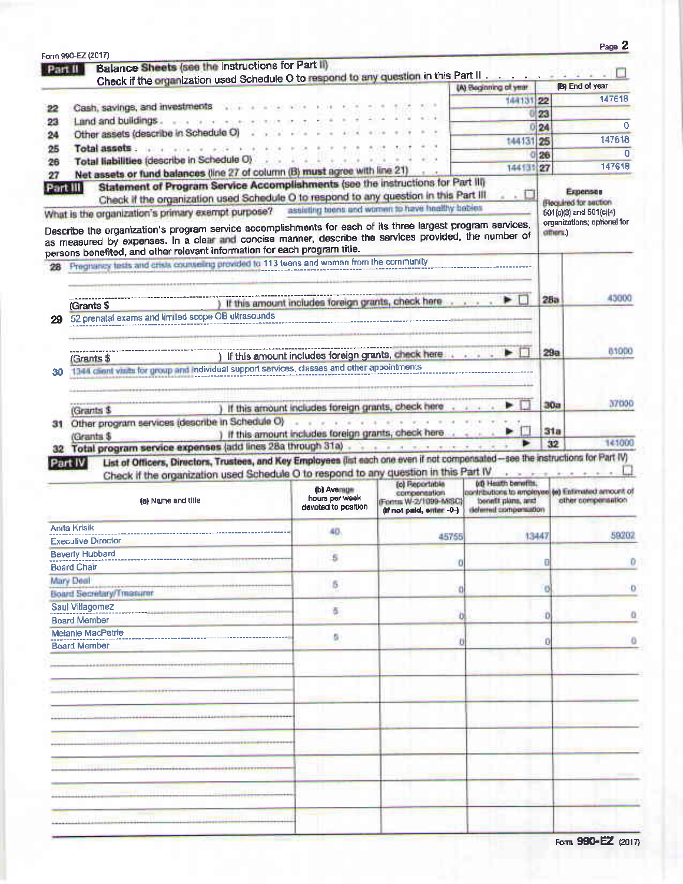| Part II | Balance Sheets (see the instructions for Part II)<br>Check if the organization used Schedule O to respond to any question in this Part II                                                                                                                                                         |                                                                                                                                   |                                                                   |                                             |        |                                                                         |
|---------|---------------------------------------------------------------------------------------------------------------------------------------------------------------------------------------------------------------------------------------------------------------------------------------------------|-----------------------------------------------------------------------------------------------------------------------------------|-------------------------------------------------------------------|---------------------------------------------|--------|-------------------------------------------------------------------------|
|         |                                                                                                                                                                                                                                                                                                   |                                                                                                                                   |                                                                   | (A) Beginning of year.                      |        | <b>B</b> ) End of year                                                  |
|         | Cash, savings, and investments                                                                                                                                                                                                                                                                    |                                                                                                                                   |                                                                   | 144131 22                                   |        | 147618                                                                  |
| 22      |                                                                                                                                                                                                                                                                                                   |                                                                                                                                   |                                                                   | Ð                                           | 23     |                                                                         |
| 23      | Land and buildings.<br>Other assets (describe in Schedule O)                                                                                                                                                                                                                                      |                                                                                                                                   |                                                                   |                                             | 0 24   | $\mathbf 0$                                                             |
| 24      |                                                                                                                                                                                                                                                                                                   |                                                                                                                                   |                                                                   | 144131 25                                   |        | 147618                                                                  |
| 25      | Total assets<br>Total liabilities (describe in Schedule O)                                                                                                                                                                                                                                        |                                                                                                                                   |                                                                   |                                             | 26     | n                                                                       |
| 26      | Net assets or fund balances (line 27 of column (B) must agree with line 21)                                                                                                                                                                                                                       |                                                                                                                                   |                                                                   | 144131                                      | 27     | 147618                                                                  |
| 27      | Part III                                                                                                                                                                                                                                                                                          | Statement of Program Service Accomplishments (see the instructions for Part III)                                                  |                                                                   |                                             |        |                                                                         |
|         | What is the organization's primary exempt purpose? assisting teens and women to have healthy beties                                                                                                                                                                                               | Check if the organization used Schedule O to respond to any question in this Part III                                             |                                                                   |                                             |        | Expenses<br>Flecaulred for auction<br>501(c)(3) and 501(c)(4)           |
|         | Describe the organization's program service accomplishments for each of its three largest program services,<br>as measured by expenses. In a clear and concise manner, describe the services provided, the number of<br>persons benefited, and other relevant information for each program title. |                                                                                                                                   |                                                                   |                                             | описа. | organizations; optional for                                             |
|         | Pregnancy fests and crisis courseling provided to 113 teens and women from the community                                                                                                                                                                                                          |                                                                                                                                   |                                                                   |                                             |        |                                                                         |
|         |                                                                                                                                                                                                                                                                                                   |                                                                                                                                   |                                                                   |                                             |        |                                                                         |
|         |                                                                                                                                                                                                                                                                                                   |                                                                                                                                   |                                                                   |                                             |        | 43000                                                                   |
|         | (Grants \$                                                                                                                                                                                                                                                                                        | ) If this amount includes foreign grants, check here                                                                              |                                                                   |                                             | 28a    |                                                                         |
|         | 52 prenatal exams and limited scope OB ultrasounds                                                                                                                                                                                                                                                |                                                                                                                                   |                                                                   |                                             |        |                                                                         |
|         |                                                                                                                                                                                                                                                                                                   |                                                                                                                                   |                                                                   |                                             |        |                                                                         |
|         |                                                                                                                                                                                                                                                                                                   |                                                                                                                                   |                                                                   |                                             |        |                                                                         |
|         | (Grants \$                                                                                                                                                                                                                                                                                        | ) If this amount includes foreign grants, check here a service                                                                    |                                                                   | ÞП                                          | 29a    | 83900                                                                   |
| 30      | 1344 client visits for group and individual support services, classes and other appointments                                                                                                                                                                                                      |                                                                                                                                   |                                                                   | ----------------------------                |        |                                                                         |
|         |                                                                                                                                                                                                                                                                                                   |                                                                                                                                   |                                                                   |                                             |        |                                                                         |
|         |                                                                                                                                                                                                                                                                                                   |                                                                                                                                   |                                                                   |                                             |        |                                                                         |
|         | (Grants \$                                                                                                                                                                                                                                                                                        | ) If this amount includes foreign grants, check here                                                                              |                                                                   |                                             | 30a    | 37000                                                                   |
|         |                                                                                                                                                                                                                                                                                                   |                                                                                                                                   |                                                                   |                                             |        |                                                                         |
|         |                                                                                                                                                                                                                                                                                                   |                                                                                                                                   |                                                                   |                                             |        |                                                                         |
|         | Other program services (describe in Schedule O)                                                                                                                                                                                                                                                   |                                                                                                                                   | a strik and with what most new                                    | Đ                                           | 31a    |                                                                         |
|         | (Grants \$                                                                                                                                                                                                                                                                                        | ) If this amount includes foreign grants, check here and a control                                                                |                                                                   |                                             | 32     |                                                                         |
|         | 32 Total program service expenses (add lines 28a through 31a)                                                                                                                                                                                                                                     |                                                                                                                                   |                                                                   |                                             |        |                                                                         |
| 31      | Part IV                                                                                                                                                                                                                                                                                           | List of Officers, Directors, Trustees, and Key Employees (list each one even if not compensated-see the instructions for Part IV) |                                                                   |                                             |        |                                                                         |
|         |                                                                                                                                                                                                                                                                                                   | Check if the organization used Schedule O to respond to any question in this Part IV                                              | (c) Reportation                                                   | <b>00 Heath benefits.</b>                   |        | 141000                                                                  |
|         | (a) Name and title                                                                                                                                                                                                                                                                                | (b) Average<br>hours per week<br>devoted to position                                                                              | compensation.<br>(Forms W-2/1099-MSC)<br>(if not paid, enter -0-) | benefit plans, and<br>deferred compensation |        | horitications to ampleyee (e) Entimated amount of<br>collaamigens reduc |
|         | Anita Krisik                                                                                                                                                                                                                                                                                      | 40                                                                                                                                |                                                                   |                                             |        |                                                                         |
|         | <b>Executive Director</b>                                                                                                                                                                                                                                                                         |                                                                                                                                   | 45755                                                             |                                             | 13447  |                                                                         |
|         | <b>Beverly Hubbard</b>                                                                                                                                                                                                                                                                            |                                                                                                                                   |                                                                   |                                             |        |                                                                         |
|         | <b>Board Chair</b>                                                                                                                                                                                                                                                                                | 5                                                                                                                                 | σ                                                                 |                                             | Đ      |                                                                         |
|         |                                                                                                                                                                                                                                                                                                   |                                                                                                                                   |                                                                   |                                             |        |                                                                         |
|         | Mary Deal                                                                                                                                                                                                                                                                                         | 5                                                                                                                                 |                                                                   |                                             |        |                                                                         |
|         | <b>Board Secretary/Treasurer</b>                                                                                                                                                                                                                                                                  |                                                                                                                                   |                                                                   |                                             |        |                                                                         |
|         | Saul Villagornez                                                                                                                                                                                                                                                                                  | ā                                                                                                                                 |                                                                   |                                             | Đ      |                                                                         |
|         | <b>Board Member</b>                                                                                                                                                                                                                                                                               |                                                                                                                                   |                                                                   |                                             |        |                                                                         |
|         | <b>Melanie MacPetrie</b>                                                                                                                                                                                                                                                                          | ö.                                                                                                                                | U                                                                 |                                             | Ð      |                                                                         |
|         | <b>Board Member</b>                                                                                                                                                                                                                                                                               |                                                                                                                                   |                                                                   |                                             |        |                                                                         |
|         |                                                                                                                                                                                                                                                                                                   |                                                                                                                                   |                                                                   |                                             |        |                                                                         |
|         |                                                                                                                                                                                                                                                                                                   |                                                                                                                                   |                                                                   |                                             |        |                                                                         |
|         |                                                                                                                                                                                                                                                                                                   |                                                                                                                                   |                                                                   |                                             |        |                                                                         |
|         |                                                                                                                                                                                                                                                                                                   |                                                                                                                                   |                                                                   |                                             |        |                                                                         |
|         |                                                                                                                                                                                                                                                                                                   |                                                                                                                                   |                                                                   |                                             |        |                                                                         |
|         |                                                                                                                                                                                                                                                                                                   |                                                                                                                                   |                                                                   |                                             |        |                                                                         |
|         |                                                                                                                                                                                                                                                                                                   |                                                                                                                                   |                                                                   |                                             |        |                                                                         |
|         |                                                                                                                                                                                                                                                                                                   |                                                                                                                                   |                                                                   |                                             |        |                                                                         |
|         |                                                                                                                                                                                                                                                                                                   |                                                                                                                                   |                                                                   |                                             |        | 59202                                                                   |
|         |                                                                                                                                                                                                                                                                                                   |                                                                                                                                   |                                                                   |                                             |        |                                                                         |
|         |                                                                                                                                                                                                                                                                                                   |                                                                                                                                   |                                                                   |                                             |        |                                                                         |
|         |                                                                                                                                                                                                                                                                                                   |                                                                                                                                   |                                                                   |                                             |        |                                                                         |
|         |                                                                                                                                                                                                                                                                                                   |                                                                                                                                   |                                                                   |                                             |        |                                                                         |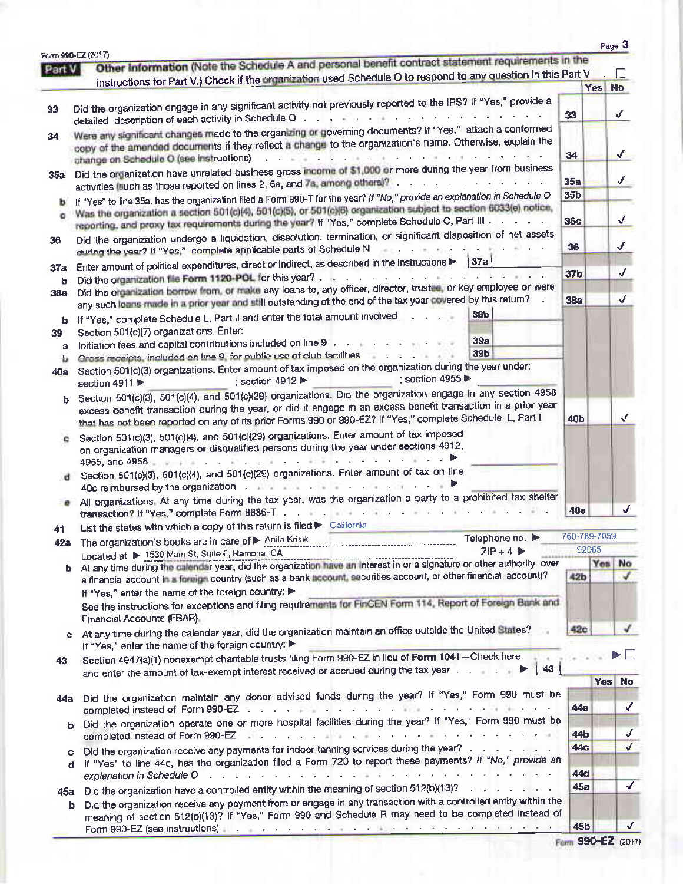| Part V | Form 990-EZ (2017)<br>Other Information (Note the Schedule A and personal benefit contract statement requirements in the                                                                                                                                                                     |                   |              |                    |
|--------|----------------------------------------------------------------------------------------------------------------------------------------------------------------------------------------------------------------------------------------------------------------------------------------------|-------------------|--------------|--------------------|
|        | instructions for Part V.) Check if the organization used Schedule O to respond to any question in this Part V                                                                                                                                                                                |                   |              | $\Box$             |
|        |                                                                                                                                                                                                                                                                                              |                   | Yes          | <b>No</b>          |
| 33     | Did the organization engage in any significant activity not previously reported to the IRS? If "Yes," provide a                                                                                                                                                                              |                   |              |                    |
|        | and the contract of the contract of<br>detailed description of each activity in Schedule O                                                                                                                                                                                                   | 33                |              | √                  |
| 34     | Were any significant changes made to the organizing or governing documents? If "Yes," attach a conformed<br>copy of the amended documents if they reflect a change to the organization's name. Otherwise, explain the                                                                        |                   |              |                    |
|        | change on Schedule O (see instructions)                                                                                                                                                                                                                                                      | 34                |              | $\sqrt{2}$         |
|        | Did the organization have unrelated business gross income of \$1,000 or more during the year from business                                                                                                                                                                                   |                   |              |                    |
| 35a    | the company's company's company's<br>activities (such as those reported on lines 2, 6a, and 7a, among others)? .                                                                                                                                                                             | 35a               |              | $\sqrt{2}$         |
| b.     | If "Yes" to line 35a, has the organization filed a Form 990-T for the year? If "No," provide an explanation in Schedule O                                                                                                                                                                    | 35 <sub>b</sub>   |              |                    |
| ۰      | Was the organization a section 501(c)(4), 501(c)(5), or 501(c)(6) organization subject to section 6033(e) notice,<br>reporting, and proxy tax requirements during the year? If "Yes," complete Schedule C, Part III                                                                          | 35c               |              | √                  |
| 36     | Did the organization undergo a liquidation, dissolution, termination, or significant disposition of net assets                                                                                                                                                                               |                   |              | √                  |
|        | during the year? If "Yes," complete applicable parts of Schedule N<br> 37a                                                                                                                                                                                                                   | 36                |              |                    |
| 37a    | Enter amount of political expenditures, direct or indirect, as described in the instructions                                                                                                                                                                                                 | 37 <sub>b</sub>   |              | ✓                  |
| b      | Did the organization file Form 1120-POL for this year?<br>Did the organization borrow from, or make any loans to, any officer, director, trustee, or key employee or were                                                                                                                    |                   |              |                    |
| 38a    | any such loans made in a prior year and still outstanding at the end of the tax year covered by this return?                                                                                                                                                                                 | 38a               |              | √                  |
| b      | 38 <sub>b</sub><br>If "Yes," complete Schedule L, Part II and enter the total amount involved                                                                                                                                                                                                |                   |              |                    |
| 39     | Section 501(c)(7) organizations. Enter:                                                                                                                                                                                                                                                      |                   |              |                    |
| а      | 39a<br>Initiation fees and capital contributions included on line 9 (a) and a contract of the contribution                                                                                                                                                                                   |                   |              |                    |
| Þ      | <b>39b</b><br>Gross receipts, included on line 9, for public use of club facilities and all all all all all all all all all                                                                                                                                                                  |                   |              |                    |
| 40a    | Section 501(c)(3) organizations. Enter amount of tax imposed on the organization during the year under:<br>: section 4955<br>; section 4912<br>section 4911                                                                                                                                  |                   |              |                    |
| ь      | Section 501(c)(3), 501(c)(4), and 501(c)(29) organizations. Did the organization engage in any section 4958                                                                                                                                                                                  |                   |              |                    |
|        | excess benefit transaction during the year, or did it engage in an excess benefit transaction in a prior year<br>that has not been reported on any of its prior Forms 990 or 990-EZ? If "Yes," complete Schedule L, Part I                                                                   | 40b               |              |                    |
|        | Section 501(c)(3), 501(c)(4), and 501(c)(29) organizations. Enter amount of tax imposed                                                                                                                                                                                                      |                   |              |                    |
| ۰      | on organization managers or disqualified persons during the year under sections 4912,                                                                                                                                                                                                        |                   |              |                    |
|        | 4955, and 4958 $\frac{1}{2}$ and $\frac{1}{2}$ and $\frac{1}{2}$ and $\frac{1}{2}$ and $\frac{1}{2}$ and $\frac{1}{2}$ and $\frac{1}{2}$ and $\frac{1}{2}$ and $\frac{1}{2}$ and $\frac{1}{2}$ and $\frac{1}{2}$ and $\frac{1}{2}$ and $\frac{1}{2}$ and $\frac{1}{2}$ and $\frac{1}{2}$     |                   |              |                    |
| đ      | Section 501(c)(3), 501(c)(4), and 501(c)(29) organizations. Enter amount of tax on line                                                                                                                                                                                                      |                   |              |                    |
|        | 40c reimbursed by the organization and the contract of the contract of the contract of the contract of the contract of the contract of the contract of the contract of the contract of the contract of the contract of the con                                                               |                   |              |                    |
| ≕ø     | All organizations. At any time during the tax year, was the organization a party to a prohibited tax shelter                                                                                                                                                                                 | <b>40e</b>        |              | √                  |
| 41     | List the states with which a copy of this return is filed > California                                                                                                                                                                                                                       |                   | 760-789-7059 |                    |
| 42a    | Telephone no. ▶<br>The organization's books are in care of Anila Krisik<br>$ZIP + 4$                                                                                                                                                                                                         |                   | 92065        |                    |
|        | Located at > 1530 Main St, Suite 6, Ramona, CA<br>Located at $\triangleright$ 1330 whall 36, 390 c, National SA Located and Interest in or a signature or other authority over<br>b At any time during the calendar year, did the organization have an interest in or a signature or other a |                   | Yes          | No                 |
|        | a financial account in a foreign country (such as a bank account, securities account, or other financial account)?                                                                                                                                                                           | 42b               |              |                    |
|        | If "Yes," enter the name of the foreign country:                                                                                                                                                                                                                                             |                   |              |                    |
|        | See the instructions for exceptions and filing requirements for FinGEN Form 114, Report of Foreign Bank and                                                                                                                                                                                  |                   |              |                    |
|        | Financial Accounts (FBAR).                                                                                                                                                                                                                                                                   |                   |              |                    |
|        | c At any time during the calendar year, did the organization maintain an office outside the United States?<br>If "Yes," enter the name of the foreign country:                                                                                                                               | 42c               |              |                    |
| 43     | Section 4947(a)(1) nonexempt charitable trusts filing Form 990-EZ in lieu of Form 1041-Check here                                                                                                                                                                                            |                   |              |                    |
|        | 43 <sup>°</sup><br>and enter the amount of tax-exempt interest received or accrued during the tax year                                                                                                                                                                                       |                   | Yes No       |                    |
|        | Did the organization maintain any donor advised funds during the year? If "Yes," Form 990 must be                                                                                                                                                                                            |                   |              |                    |
| 44a    |                                                                                                                                                                                                                                                                                              | 44a               |              | √                  |
| b.     | Did the organization operate one or more hospital facilities during the year? If "Yes," Form 990 must be<br>completed instead of Form 990-EZ (William Completed instead of Form 990-EZ) (William Completed instead of Form                                                                   | 44 <b>b</b>       |              | √                  |
| c.     | Did the organization receive any payments for indoor tanning services during the year?                                                                                                                                                                                                       | 44c               |              | $\sqrt{}$          |
| d      | If "Yes" to line 44c, has the organization filed a Form 720 to report these payments? If "No," provide an                                                                                                                                                                                    |                   |              |                    |
|        | explanation in Schedule O and a contract that is a contract of the schedule O and a contract that is a contract of the schedule O and a contract of the contract of the schedule O and a contract of the contract of the contr                                                               | <b>44d</b><br>45a |              | √                  |
| 45a    | Did the organization have a controlled entity within the meaning of section 512(b)(13)?                                                                                                                                                                                                      |                   |              |                    |
| b      | Did the organization receive any payment from or engage in any transaction with a controlled entity within the<br>meaning of section 512(b)(13)? If "Yes," Form 990 and Schedule R may need to be completed instead of                                                                       |                   |              |                    |
|        | Form 990-EZ (see instructions) and a subsequence of the set of the set of the set of the set of the set of the                                                                                                                                                                               | <b>45b</b>        |              | $\checkmark$       |
|        |                                                                                                                                                                                                                                                                                              |                   |              | Farm 990-EZ (2017) |

| Farm 990-EZ (2017) |  |
|--------------------|--|
|--------------------|--|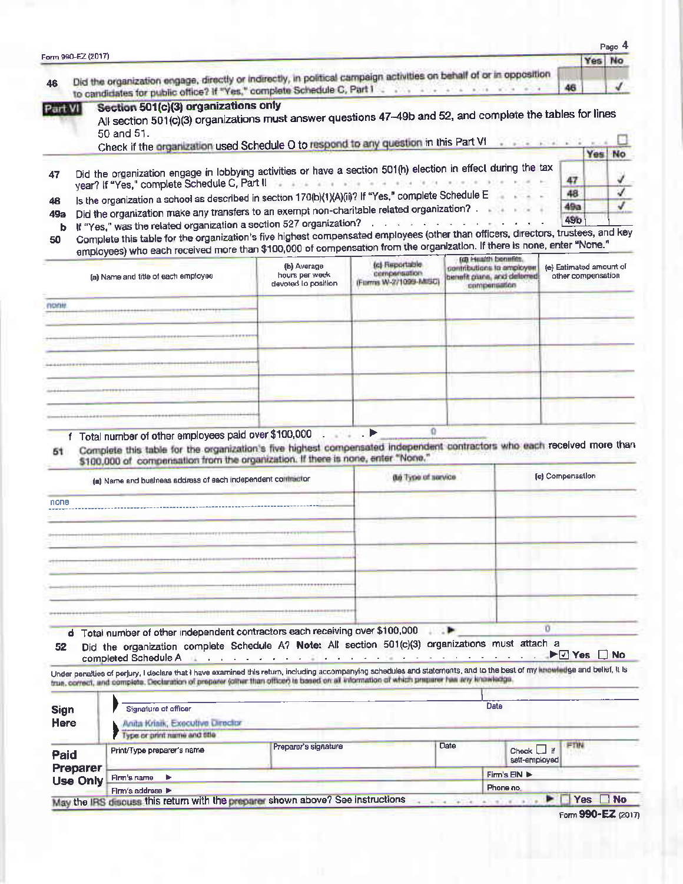| 46<br>Part VI                                                                                                                                                                                                                                                                                        |  | Did the organization engage, directly or indirectly, in political campaign activities on behalf of or in opposition                                                                                                                                                                                                       |                                                      |                                                                                                    |      |                                                                                                 |                  |                                               |        |
|------------------------------------------------------------------------------------------------------------------------------------------------------------------------------------------------------------------------------------------------------------------------------------------------------|--|---------------------------------------------------------------------------------------------------------------------------------------------------------------------------------------------------------------------------------------------------------------------------------------------------------------------------|------------------------------------------------------|----------------------------------------------------------------------------------------------------|------|-------------------------------------------------------------------------------------------------|------------------|-----------------------------------------------|--------|
|                                                                                                                                                                                                                                                                                                      |  |                                                                                                                                                                                                                                                                                                                           |                                                      | to candidates for public office? If "Yes," complete Schedule C, Part I contract to the contract of |      |                                                                                                 | 46               |                                               |        |
|                                                                                                                                                                                                                                                                                                      |  | Section 501(c)(3) organizations only<br>All section 501(c)(3) organizations must answer questions 47-49b and 52, and complete the tables for lines<br>50 and 51.<br>Check if the organization used Schedule O to respond to any question in this Part VI                                                                  |                                                      |                                                                                                    |      |                                                                                                 |                  |                                               |        |
|                                                                                                                                                                                                                                                                                                      |  |                                                                                                                                                                                                                                                                                                                           |                                                      |                                                                                                    |      |                                                                                                 |                  |                                               | Yes No |
| Did the organization engage in lobbying activities or have a section 501(h) election in effect during the tax<br>47<br>year? If "Yes," complete Schedule C, Part II<br>to although any and a<br>Is the organization a school as described in section 170(b)(1)(A)(ii)? If "Yes," complete Schedule E |  |                                                                                                                                                                                                                                                                                                                           |                                                      |                                                                                                    |      | 47                                                                                              |                  |                                               |        |
| 48<br>49а                                                                                                                                                                                                                                                                                            |  | Did the organization make any transfers to an exempt non-charitable related organization?<br>If "Yes," was the related organization a section 527 organization?                                                                                                                                                           |                                                      | and the first product and a more                                                                   |      |                                                                                                 |                  | 48<br><b>49a</b><br><b>49b</b>                |        |
| b<br>50                                                                                                                                                                                                                                                                                              |  | Complete this table for the organization's five highest compensated employees (other than officers, directors, trustees, and key<br>employees) who each received more than \$100,000 of compensation from the organization. If there is none, enter "None."                                                               |                                                      |                                                                                                    |      |                                                                                                 |                  |                                               |        |
|                                                                                                                                                                                                                                                                                                      |  | (a) Name and title of each employee                                                                                                                                                                                                                                                                                       | (b) Average<br>hours per week<br>devoted to position | (c) Reportable<br>compensation<br>(Forms W-2/1099-MSC)                                             |      | (d) Health benefits.<br>contributions to employee<br>benefit plans, and delemed<br>compensation |                  | (e) Estimated amount of<br>other compensation |        |
| none                                                                                                                                                                                                                                                                                                 |  |                                                                                                                                                                                                                                                                                                                           |                                                      |                                                                                                    |      |                                                                                                 |                  |                                               |        |
|                                                                                                                                                                                                                                                                                                      |  |                                                                                                                                                                                                                                                                                                                           |                                                      |                                                                                                    |      |                                                                                                 |                  |                                               |        |
|                                                                                                                                                                                                                                                                                                      |  |                                                                                                                                                                                                                                                                                                                           |                                                      |                                                                                                    |      |                                                                                                 |                  |                                               |        |
| <b>ALCOHOL: 011</b>                                                                                                                                                                                                                                                                                  |  |                                                                                                                                                                                                                                                                                                                           |                                                      |                                                                                                    |      |                                                                                                 |                  |                                               |        |
|                                                                                                                                                                                                                                                                                                      |  |                                                                                                                                                                                                                                                                                                                           |                                                      |                                                                                                    |      |                                                                                                 |                  |                                               |        |
|                                                                                                                                                                                                                                                                                                      |  |                                                                                                                                                                                                                                                                                                                           |                                                      |                                                                                                    |      |                                                                                                 |                  |                                               |        |
|                                                                                                                                                                                                                                                                                                      |  |                                                                                                                                                                                                                                                                                                                           |                                                      |                                                                                                    |      |                                                                                                 |                  |                                               |        |
|                                                                                                                                                                                                                                                                                                      |  | \$100,000 of compensation from the organization. If there is none, enter "None."<br>(a) Name and business address of each independent committer                                                                                                                                                                           |                                                      | (b) Type of service                                                                                |      |                                                                                                 | (c) Compensation |                                               |        |
| none                                                                                                                                                                                                                                                                                                 |  |                                                                                                                                                                                                                                                                                                                           |                                                      |                                                                                                    |      |                                                                                                 |                  |                                               |        |
|                                                                                                                                                                                                                                                                                                      |  |                                                                                                                                                                                                                                                                                                                           |                                                      |                                                                                                    |      |                                                                                                 |                  |                                               |        |
|                                                                                                                                                                                                                                                                                                      |  |                                                                                                                                                                                                                                                                                                                           |                                                      |                                                                                                    |      |                                                                                                 |                  |                                               |        |
|                                                                                                                                                                                                                                                                                                      |  |                                                                                                                                                                                                                                                                                                                           |                                                      |                                                                                                    |      |                                                                                                 |                  |                                               |        |
|                                                                                                                                                                                                                                                                                                      |  |                                                                                                                                                                                                                                                                                                                           |                                                      |                                                                                                    |      |                                                                                                 |                  |                                               |        |
|                                                                                                                                                                                                                                                                                                      |  |                                                                                                                                                                                                                                                                                                                           |                                                      |                                                                                                    |      |                                                                                                 |                  |                                               |        |
|                                                                                                                                                                                                                                                                                                      |  |                                                                                                                                                                                                                                                                                                                           |                                                      |                                                                                                    | ۰.   |                                                                                                 | σ                |                                               |        |
| 52                                                                                                                                                                                                                                                                                                   |  | d Total number of other independent contractors each receiving over \$100,000<br>Did the organization complete Schedule A? Note: All section 501(c)(3) organizations must attach a<br>completed Schedule A interview and a completed Schedule A interview and a complete                                                  |                                                      |                                                                                                    |      |                                                                                                 |                  |                                               |        |
|                                                                                                                                                                                                                                                                                                      |  | Under penalties of perjury, I declare that I have examined this return, including accompanying schedules and statements, and to the best of my knowledge and belief, it is<br>true, correct, and complete. Declaration of proparer (cither than officer) to based on all information of which preparer has any knowledge. |                                                      |                                                                                                    |      |                                                                                                 |                  |                                               |        |
| Sign<br>Here                                                                                                                                                                                                                                                                                         |  | Signature of officer<br>Anita Kristk, Executive Director<br>Type or print name and title                                                                                                                                                                                                                                  |                                                      |                                                                                                    |      | Date                                                                                            |                  |                                               |        |
| Paid                                                                                                                                                                                                                                                                                                 |  | Print/Type preparer's name                                                                                                                                                                                                                                                                                                | Preparer's signature                                 |                                                                                                    | Date | Check L<br>self-employed                                                                        | if               | <b>FTIN</b>                                   |        |
| Preparer<br><b>Use Only</b>                                                                                                                                                                                                                                                                          |  | Firm's name $\blacktriangleright$                                                                                                                                                                                                                                                                                         |                                                      |                                                                                                    |      | Firm's EIN                                                                                      |                  |                                               |        |
|                                                                                                                                                                                                                                                                                                      |  | Firm's address ><br>May the IRS discuss this return with the preparer shown above? See instructions                                                                                                                                                                                                                       |                                                      |                                                                                                    |      | Phone no.                                                                                       |                  | Yes No                                        |        |
|                                                                                                                                                                                                                                                                                                      |  |                                                                                                                                                                                                                                                                                                                           |                                                      |                                                                                                    |      |                                                                                                 |                  | Form 990-EZ (2017)                            |        |

| Form 990-EZ (2017) |  |
|--------------------|--|
|                    |  |